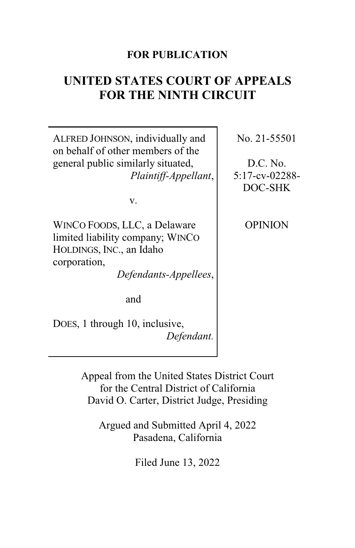## **FOR PUBLICATION**

# **UNITED STATES COURT OF APPEALS FOR THE NINTH CIRCUIT**

ALFRED JOHNSON, individually and on behalf of other members of the general public similarly situated, *Plaintiff-Appellant*,

v.

WINCO FOODS, LLC, a Delaware limited liability company; WINCO HOLDINGS, INC., an Idaho corporation,

*Defendants-Appellees*,

and

DOES, 1 through 10, inclusive, *Defendant.* No. 21-55501

D.C. No. 5:17-cv-02288- DOC-SHK

OPINION

Appeal from the United States District Court for the Central District of California David O. Carter, District Judge, Presiding

Argued and Submitted April 4, 2022 Pasadena, California

Filed June 13, 2022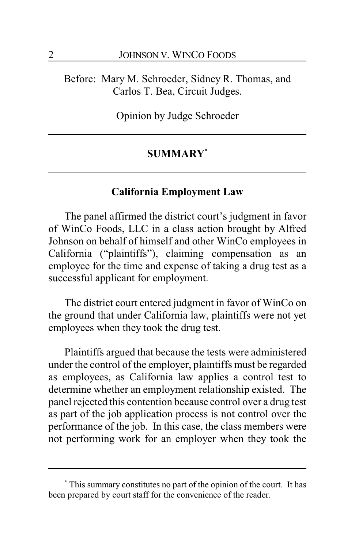Before: Mary M. Schroeder, Sidney R. Thomas, and Carlos T. Bea, Circuit Judges.

Opinion by Judge Schroeder

## **SUMMARY\***

#### **California Employment Law**

The panel affirmed the district court's judgment in favor of WinCo Foods, LLC in a class action brought by Alfred Johnson on behalf of himself and other WinCo employees in California ("plaintiffs"), claiming compensation as an employee for the time and expense of taking a drug test as a successful applicant for employment.

The district court entered judgment in favor of WinCo on the ground that under California law, plaintiffs were not yet employees when they took the drug test.

Plaintiffs argued that because the tests were administered under the control of the employer, plaintiffs must be regarded as employees, as California law applies a control test to determine whether an employment relationship existed. The panel rejected this contention because control over a drug test as part of the job application process is not control over the performance of the job. In this case, the class members were not performing work for an employer when they took the

**<sup>\*</sup>** This summary constitutes no part of the opinion of the court. It has been prepared by court staff for the convenience of the reader.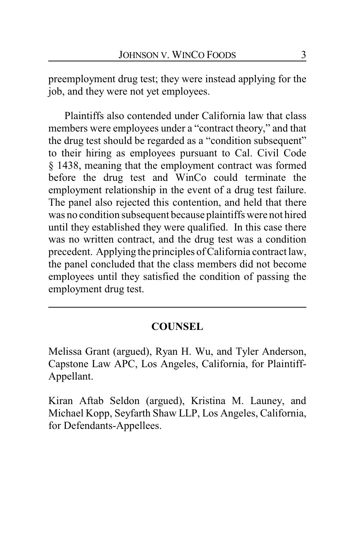preemployment drug test; they were instead applying for the job, and they were not yet employees.

Plaintiffs also contended under California law that class members were employees under a "contract theory," and that the drug test should be regarded as a "condition subsequent" to their hiring as employees pursuant to Cal. Civil Code § 1438, meaning that the employment contract was formed before the drug test and WinCo could terminate the employment relationship in the event of a drug test failure. The panel also rejected this contention, and held that there was no condition subsequent because plaintiffs were not hired until they established they were qualified. In this case there was no written contract, and the drug test was a condition precedent. Applying the principles of California contract law, the panel concluded that the class members did not become employees until they satisfied the condition of passing the employment drug test.

## **COUNSEL**

Melissa Grant (argued), Ryan H. Wu, and Tyler Anderson, Capstone Law APC, Los Angeles, California, for Plaintiff-Appellant.

Kiran Aftab Seldon (argued), Kristina M. Launey, and Michael Kopp, Seyfarth Shaw LLP, Los Angeles, California, for Defendants-Appellees.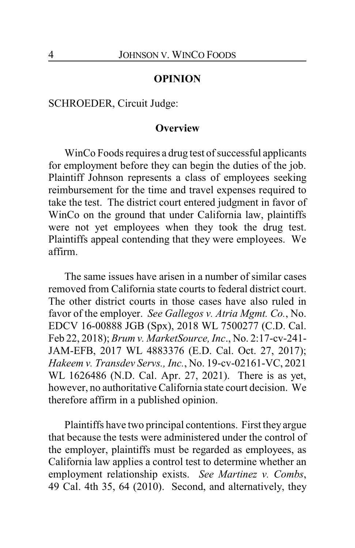#### **OPINION**

SCHROEDER, Circuit Judge:

#### **Overview**

WinCo Foods requires a drug test of successful applicants for employment before they can begin the duties of the job. Plaintiff Johnson represents a class of employees seeking reimbursement for the time and travel expenses required to take the test. The district court entered judgment in favor of WinCo on the ground that under California law, plaintiffs were not yet employees when they took the drug test. Plaintiffs appeal contending that they were employees. We affirm.

The same issues have arisen in a number of similar cases removed from California state courts to federal district court. The other district courts in those cases have also ruled in favor of the employer. *See Gallegos v. Atria Mgmt. Co.*, No. EDCV 16-00888 JGB (Spx), 2018 WL 7500277 (C.D. Cal. Feb 22, 2018); *Brum v. MarketSource, Inc*., No. 2:17-cv-241- JAM-EFB, 2017 WL 4883376 (E.D. Cal. Oct. 27, 2017); *Hakeem v. Transdev Servs., Inc.*, No. 19-cv-02161-VC, 2021 WL 1626486 (N.D. Cal. Apr. 27, 2021). There is as yet, however, no authoritative California state court decision. We therefore affirm in a published opinion.

Plaintiffs have two principal contentions. First they argue that because the tests were administered under the control of the employer, plaintiffs must be regarded as employees, as California law applies a control test to determine whether an employment relationship exists. *See Martinez v. Combs*, 49 Cal. 4th 35, 64 (2010). Second, and alternatively, they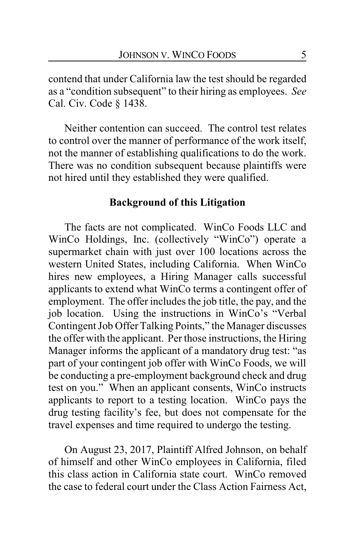contend that under California law the test should be regarded as a "condition subsequent" to their hiring as employees. *See* Cal. Civ. Code § 1438.

Neither contention can succeed. The control test relates to control over the manner of performance of the work itself, not the manner of establishing qualifications to do the work. There was no condition subsequent because plaintiffs were not hired until they established they were qualified.

## **Background of this Litigation**

The facts are not complicated. WinCo Foods LLC and WinCo Holdings, Inc. (collectively "WinCo") operate a supermarket chain with just over 100 locations across the western United States, including California. When WinCo hires new employees, a Hiring Manager calls successful applicants to extend what WinCo terms a contingent offer of employment. The offer includes the job title, the pay, and the job location. Using the instructions in WinCo's "Verbal Contingent Job Offer Talking Points," the Manager discusses the offer with the applicant. Per those instructions, the Hiring Manager informs the applicant of a mandatory drug test: "as part of your contingent job offer with WinCo Foods, we will be conducting a pre-employment background check and drug test on you." When an applicant consents, WinCo instructs applicants to report to a testing location. WinCo pays the drug testing facility's fee, but does not compensate for the travel expenses and time required to undergo the testing.

On August 23, 2017, Plaintiff Alfred Johnson, on behalf of himself and other WinCo employees in California, filed this class action in California state court. WinCo removed the case to federal court under the Class Action Fairness Act,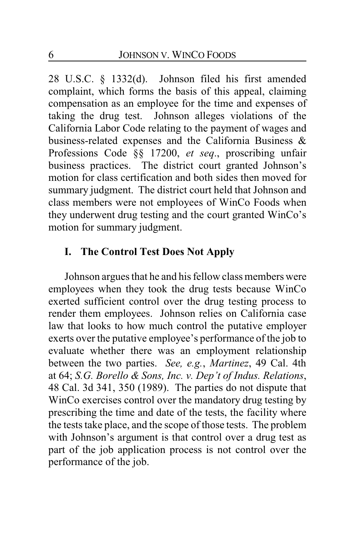28 U.S.C. § 1332(d). Johnson filed his first amended complaint, which forms the basis of this appeal, claiming compensation as an employee for the time and expenses of taking the drug test. Johnson alleges violations of the California Labor Code relating to the payment of wages and business-related expenses and the California Business & Professions Code §§ 17200, *et seq*., proscribing unfair business practices. The district court granted Johnson's motion for class certification and both sides then moved for summary judgment. The district court held that Johnson and class members were not employees of WinCo Foods when they underwent drug testing and the court granted WinCo's motion for summary judgment.

## **I. The Control Test Does Not Apply**

Johnson argues that he and his fellow class members were employees when they took the drug tests because WinCo exerted sufficient control over the drug testing process to render them employees. Johnson relies on California case law that looks to how much control the putative employer exerts over the putative employee's performance of the job to evaluate whether there was an employment relationship between the two parties. *See, e.g.*, *Martinez*, 49 Cal. 4th at 64; *S.G. Borello & Sons, Inc. v. Dep't of Indus. Relations*, 48 Cal. 3d 341, 350 (1989). The parties do not dispute that WinCo exercises control over the mandatory drug testing by prescribing the time and date of the tests, the facility where the tests take place, and the scope of those tests. The problem with Johnson's argument is that control over a drug test as part of the job application process is not control over the performance of the job.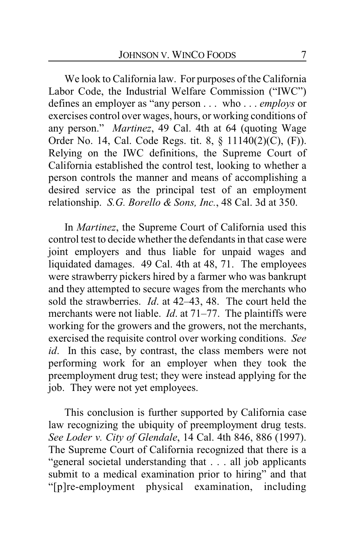We look to California law. For purposes of the California Labor Code, the Industrial Welfare Commission ("IWC") defines an employer as "any person . . . who . . . *employs* or exercises control over wages, hours, or working conditions of any person." *Martinez*, 49 Cal. 4th at 64 (quoting Wage Order No. 14, Cal. Code Regs. tit. 8, § 11140(2)(C), (F)). Relying on the IWC definitions, the Supreme Court of California established the control test, looking to whether a person controls the manner and means of accomplishing a desired service as the principal test of an employment relationship. *S.G. Borello & Sons, Inc.*, 48 Cal. 3d at 350.

In *Martinez*, the Supreme Court of California used this control test to decide whether the defendants in that case were joint employers and thus liable for unpaid wages and liquidated damages. 49 Cal. 4th at 48, 71. The employees were strawberry pickers hired by a farmer who was bankrupt and they attempted to secure wages from the merchants who sold the strawberries. *Id*. at 42–43, 48. The court held the merchants were not liable. *Id*. at 71–77. The plaintiffs were working for the growers and the growers, not the merchants, exercised the requisite control over working conditions. *See id*. In this case, by contrast, the class members were not performing work for an employer when they took the preemployment drug test; they were instead applying for the job. They were not yet employees.

This conclusion is further supported by California case law recognizing the ubiquity of preemployment drug tests. *See Loder v. City of Glendale*, 14 Cal. 4th 846, 886 (1997). The Supreme Court of California recognized that there is a "general societal understanding that . . . all job applicants submit to a medical examination prior to hiring" and that "[p]re-employment physical examination, including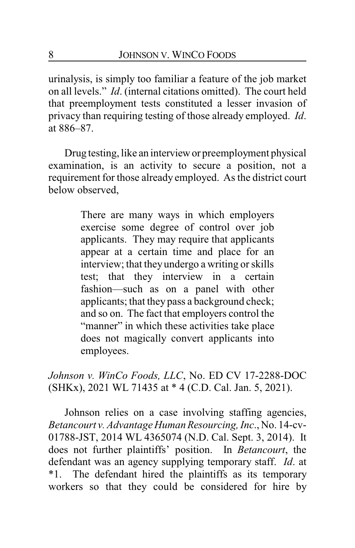urinalysis, is simply too familiar a feature of the job market on all levels." *Id*. (internal citations omitted). The court held that preemployment tests constituted a lesser invasion of privacy than requiring testing of those already employed. *Id*. at 886–87.

Drug testing, like an interviewor preemployment physical examination, is an activity to secure a position, not a requirement for those already employed. As the district court below observed,

> There are many ways in which employers exercise some degree of control over job applicants. They may require that applicants appear at a certain time and place for an interview; that they undergo a writing or skills test; that they interview in a certain fashion—such as on a panel with other applicants; that they pass a background check; and so on. The fact that employers control the "manner" in which these activities take place does not magically convert applicants into employees.

*Johnson v. WinCo Foods, LLC*, No. ED CV 17-2288-DOC (SHKx), 2021 WL 71435 at \* 4 (C.D. Cal. Jan. 5, 2021).

Johnson relies on a case involving staffing agencies, *Betancourt v. Advantage HumanResourcing, Inc*., No. 14-cv-01788-JST, 2014 WL 4365074 (N.D. Cal. Sept. 3, 2014). It does not further plaintiffs' position. In *Betancourt*, the defendant was an agency supplying temporary staff. *Id*. at \*1. The defendant hired the plaintiffs as its temporary workers so that they could be considered for hire by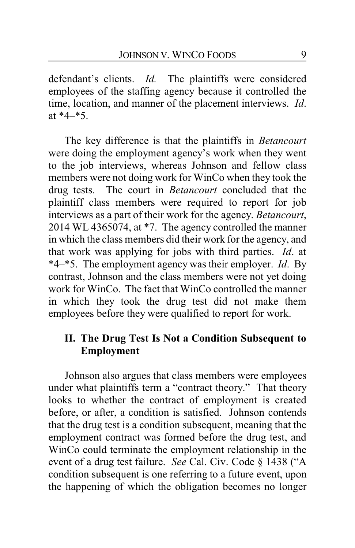defendant's clients. *Id.* The plaintiffs were considered employees of the staffing agency because it controlled the time, location, and manner of the placement interviews. *Id*. at \*4–\*5.

The key difference is that the plaintiffs in *Betancourt* were doing the employment agency's work when they went to the job interviews, whereas Johnson and fellow class members were not doing work for WinCo when they took the drug tests. The court in *Betancourt* concluded that the plaintiff class members were required to report for job interviews as a part of their work for the agency. *Betancourt*, 2014 WL 4365074, at \*7. The agency controlled the manner in which the class members did their work for the agency, and that work was applying for jobs with third parties. *Id*. at \*4–\*5. The employment agency was their employer. *Id*. By contrast, Johnson and the class members were not yet doing work for WinCo. The fact that WinCo controlled the manner in which they took the drug test did not make them employees before they were qualified to report for work.

## **II. The Drug Test Is Not a Condition Subsequent to Employment**

Johnson also argues that class members were employees under what plaintiffs term a "contract theory." That theory looks to whether the contract of employment is created before, or after, a condition is satisfied. Johnson contends that the drug test is a condition subsequent, meaning that the employment contract was formed before the drug test, and WinCo could terminate the employment relationship in the event of a drug test failure. *See* Cal. Civ. Code § 1438 ("A condition subsequent is one referring to a future event, upon the happening of which the obligation becomes no longer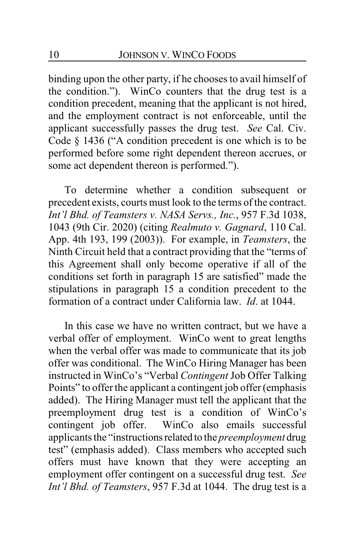binding upon the other party, if he chooses to avail himself of the condition."). WinCo counters that the drug test is a condition precedent, meaning that the applicant is not hired, and the employment contract is not enforceable, until the applicant successfully passes the drug test. *See* Cal. Civ. Code § 1436 ("A condition precedent is one which is to be performed before some right dependent thereon accrues, or some act dependent thereon is performed.").

To determine whether a condition subsequent or precedent exists, courts must look to the terms of the contract. *Int'l Bhd. of Teamsters v. NASA Servs., Inc.*, 957 F.3d 1038, 1043 (9th Cir. 2020) (citing *Realmuto v. Gagnard*, 110 Cal. App. 4th 193, 199 (2003)). For example, in *Teamsters*, the Ninth Circuit held that a contract providing that the "terms of this Agreement shall only become operative if all of the conditions set forth in paragraph 15 are satisfied" made the stipulations in paragraph 15 a condition precedent to the formation of a contract under California law. *Id*. at 1044.

In this case we have no written contract, but we have a verbal offer of employment. WinCo went to great lengths when the verbal offer was made to communicate that its job offer was conditional. The WinCo Hiring Manager has been instructed in WinCo's "Verbal *Contingent* Job Offer Talking Points" to offer the applicant a contingent job offer (emphasis added). The Hiring Manager must tell the applicant that the preemployment drug test is a condition of WinCo's contingent job offer. WinCo also emails successful applicants the "instructionsrelated to the *preemployment* drug test" (emphasis added). Class members who accepted such offers must have known that they were accepting an employment offer contingent on a successful drug test. *See Int'l Bhd. of Teamsters*, 957 F.3d at 1044. The drug test is a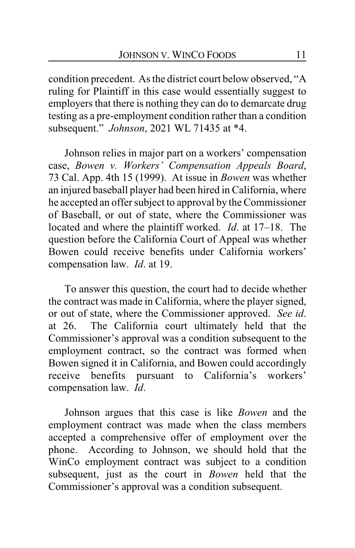condition precedent. As the district court below observed, "A ruling for Plaintiff in this case would essentially suggest to employers that there is nothing they can do to demarcate drug testing as a pre-employment condition rather than a condition subsequent." *Johnson*, 2021 WL 71435 at \*4.

Johnson relies in major part on a workers' compensation case, *Bowen v. Workers' Compensation Appeals Board*, 73 Cal. App. 4th 15 (1999). At issue in *Bowen* was whether an injured baseball player had been hired in California, where he accepted an offer subject to approval by the Commissioner of Baseball, or out of state, where the Commissioner was located and where the plaintiff worked. *Id*. at 17–18. The question before the California Court of Appeal was whether Bowen could receive benefits under California workers' compensation law. *Id*. at 19.

To answer this question, the court had to decide whether the contract was made in California, where the player signed, or out of state, where the Commissioner approved. *See id*. at 26. The California court ultimately held that the Commissioner's approval was a condition subsequent to the employment contract, so the contract was formed when Bowen signed it in California, and Bowen could accordingly receive benefits pursuant to California's workers' compensation law. *Id*.

Johnson argues that this case is like *Bowen* and the employment contract was made when the class members accepted a comprehensive offer of employment over the phone. According to Johnson, we should hold that the WinCo employment contract was subject to a condition subsequent, just as the court in *Bowen* held that the Commissioner's approval was a condition subsequent.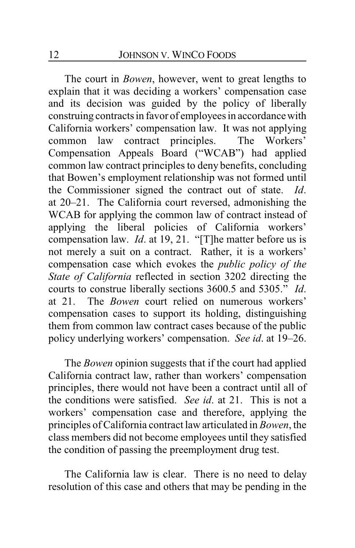The court in *Bowen*, however, went to great lengths to explain that it was deciding a workers' compensation case and its decision was guided by the policy of liberally construing contracts in favor of employees in accordance with California workers' compensation law. It was not applying common law contract principles. The Workers' Compensation Appeals Board ("WCAB") had applied common law contract principles to deny benefits, concluding that Bowen's employment relationship was not formed until the Commissioner signed the contract out of state. *Id*. at 20–21. The California court reversed, admonishing the WCAB for applying the common law of contract instead of applying the liberal policies of California workers' compensation law. *Id*. at 19, 21. "[T]he matter before us is not merely a suit on a contract. Rather, it is a workers' compensation case which evokes the *public policy of the State of California* reflected in section 3202 directing the courts to construe liberally sections 3600.5 and 5305." *Id*. at 21. The *Bowen* court relied on numerous workers' compensation cases to support its holding, distinguishing them from common law contract cases because of the public policy underlying workers' compensation. *See id*. at 19–26.

The *Bowen* opinion suggests that if the court had applied California contract law, rather than workers' compensation principles, there would not have been a contract until all of the conditions were satisfied. *See id*. at 21. This is not a workers' compensation case and therefore, applying the principles of California contract law articulated in *Bowen*, the class members did not become employees until they satisfied the condition of passing the preemployment drug test.

The California law is clear. There is no need to delay resolution of this case and others that may be pending in the